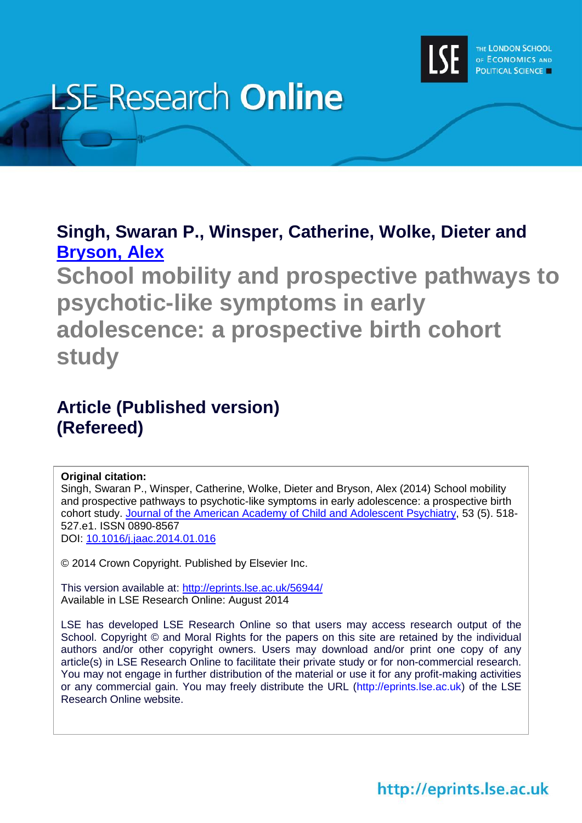

# **LSE Research Online**

## **Singh, Swaran P., Winsper, Catherine, Wolke, Dieter and [Bryson, Alex](http://www.lse.ac.uk/researchAndExpertise/Experts/profile.aspx?KeyValue=a.j.bryson@lse.ac.uk)**

**School mobility and prospective pathways to psychotic-like symptoms in early adolescence: a prospective birth cohort study**

### **Article (Published version) (Refereed)**

### **Original citation:**

Singh, Swaran P., Winsper, Catherine, Wolke, Dieter and Bryson, Alex (2014) School mobility and prospective pathways to psychotic-like symptoms in early adolescence: a prospective birth cohort study. [Journal of the American Academy of Child and Adolescent Psychiatry,](http://www.jaacap.com/) 53 (5). 518- 527.e1. ISSN 0890-8567 DOI:<10.1016/j.jaac.2014.01.016>

© 2014 Crown Copyright. Published by Elsevier Inc.

This version available at:<http://eprints.lse.ac.uk/56944/> Available in LSE Research Online: August 2014

LSE has developed LSE Research Online so that users may access research output of the School. Copyright © and Moral Rights for the papers on this site are retained by the individual authors and/or other copyright owners. Users may download and/or print one copy of any article(s) in LSE Research Online to facilitate their private study or for non-commercial research. You may not engage in further distribution of the material or use it for any profit-making activities or any commercial gain. You may freely distribute the URL (http://eprints.lse.ac.uk) of the LSE Research Online website.

# http://eprints.lse.ac.uk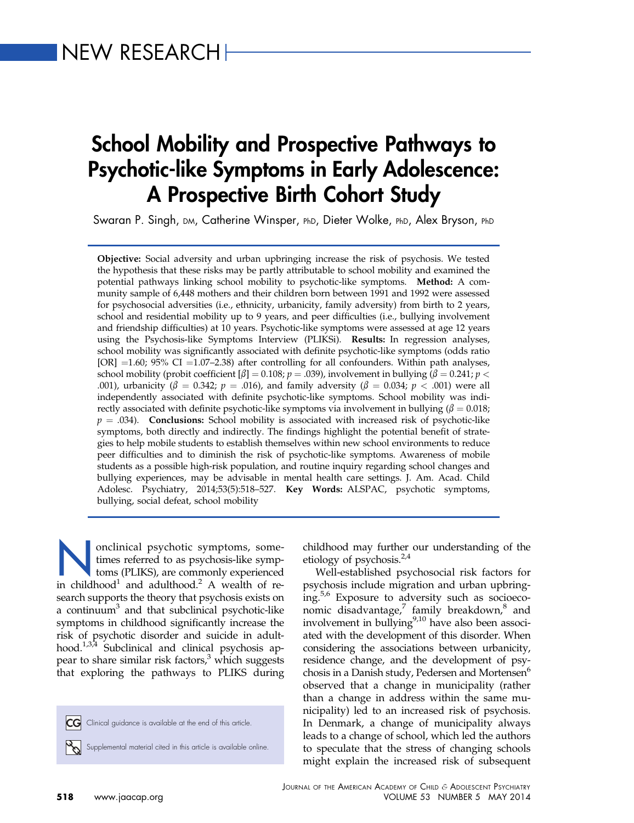# School Mobility and Prospective Pathways to Psychotic-like Symptoms in Early Adolescence: A Prospective Birth Cohort Study

Swaran P. Singh, DM, Catherine Winsper, PhD, Dieter Wolke, PhD, Alex Bryson, PhD

Objective: Social adversity and urban upbringing increase the risk of psychosis. We tested the hypothesis that these risks may be partly attributable to school mobility and examined the potential pathways linking school mobility to psychotic-like symptoms. Method: A community sample of 6,448 mothers and their children born between 1991 and 1992 were assessed for psychosocial adversities (i.e., ethnicity, urbanicity, family adversity) from birth to 2 years, school and residential mobility up to 9 years, and peer difficulties (i.e., bullying involvement and friendship difficulties) at 10 years. Psychotic-like symptoms were assessed at age 12 years using the Psychosis-like Symptoms Interview (PLIKSi). Results: In regression analyses, school mobility was significantly associated with definite psychotic-like symptoms (odds ratio  $[OR] = 1.60$ ; 95% CI = 1.07–2.38) after controlling for all confounders. Within path analyses, school mobility (probit coefficient  $[\beta] = 0.108; p = .039$ ), involvement in bullying ( $\beta = 0.241; p <$ .001), urbanicity ( $\beta = 0.342$ ;  $p = .016$ ), and family adversity ( $\beta = 0.034$ ;  $p < .001$ ) were all independently associated with definite psychotic-like symptoms. School mobility was indirectly associated with definite psychotic-like symptoms via involvement in bullying ( $\beta = 0.018$ ;  $p = .034$ ). Conclusions: School mobility is associated with increased risk of psychotic-like symptoms, both directly and indirectly. The findings highlight the potential benefit of strategies to help mobile students to establish themselves within new school environments to reduce peer difficulties and to diminish the risk of psychotic-like symptoms. Awareness of mobile students as a possible high-risk population, and routine inquiry regarding school changes and bullying experiences, may be advisable in mental health care settings. J. Am. Acad. Child Adolesc. Psychiatry, 2014;53(5):518-527. Key Words: ALSPAC, psychotic symptoms, bullying, social defeat, school mobility

onclinical psychotic symptoms, sometimes referred to as psychosis-like symptoms (PLIKS), are commonly experienced in childhood<sup>[1](#page-9-0)</sup> and adulthood.<sup>[2](#page-9-0)</sup> A wealth of research supports the theory that psychosis exists on a continuum<sup>3</sup> and that subclinical psychotic-like symptoms in childhood significantly increase the risk of psychotic disorder and suicide in adulthood.<sup>1,3,4</sup> Subclinical and clinical psychosis appear to share similar risk factors, $3$  which suggests that exploring the pathways to PLIKS during

CG Clinical guidance is available at the end of this article.

Supplemental material cited in this article is available online.

childhood may further our understanding of the etiology of psychosis. $2,4$ 

Well-established psychosocial risk factors for psychosis include migration and urban upbringing.[5,6](#page-10-0) Exposure to adversity such as socioeco-nomic disadvantage,<sup>[7](#page-10-0)</sup> family breakdown,<sup>[8](#page-10-0)</sup> and involvement in bullying $9,10$  have also been associated with the development of this disorder. When considering the associations between urbanicity, residence change, and the development of psychosis in a Danish study, Pedersen and Mortensen<sup>6</sup> observed that a change in municipality (rather than a change in address within the same municipality) led to an increased risk of psychosis. In Denmark, a change of municipality always leads to a change of school, which led the authors to speculate that the stress of changing schools might explain the increased risk of subsequent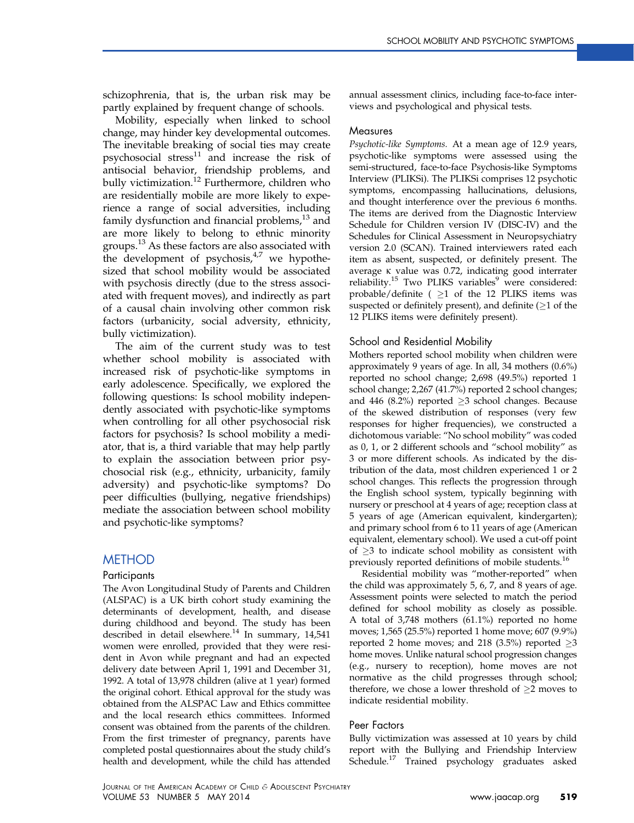schizophrenia, that is, the urban risk may be partly explained by frequent change of schools.

Mobility, especially when linked to school change, may hinder key developmental outcomes. The inevitable breaking of social ties may create psychosocial stress $11$  and increase the risk of antisocial behavior, friendship problems, and bully victimization.<sup>[12](#page-10-0)</sup> Furthermore, children who are residentially mobile are more likely to experience a range of social adversities, including family dysfunction and financial problems, $13$  and are more likely to belong to ethnic minority groups.<sup>[13](#page-10-0)</sup> As these factors are also associated with the development of psychosis, $4^{17}$  we hypothesized that school mobility would be associated with psychosis directly (due to the stress associated with frequent moves), and indirectly as part of a causal chain involving other common risk factors (urbanicity, social adversity, ethnicity, bully victimization).

The aim of the current study was to test whether school mobility is associated with increased risk of psychotic-like symptoms in early adolescence. Specifically, we explored the following questions: Is school mobility independently associated with psychotic-like symptoms when controlling for all other psychosocial risk factors for psychosis? Is school mobility a mediator, that is, a third variable that may help partly to explain the association between prior psychosocial risk (e.g., ethnicity, urbanicity, family adversity) and psychotic-like symptoms? Do peer difficulties (bullying, negative friendships) mediate the association between school mobility and psychotic-like symptoms?

#### **METHOD**

#### Participants

The Avon Longitudinal Study of Parents and Children (ALSPAC) is a UK birth cohort study examining the determinants of development, health, and disease during childhood and beyond. The study has been described in detail elsewhere.<sup>[14](#page-10-0)</sup> In summary, 14,541 women were enrolled, provided that they were resident in Avon while pregnant and had an expected delivery date between April 1, 1991 and December 31, 1992. A total of 13,978 children (alive at 1 year) formed the original cohort. Ethical approval for the study was obtained from the ALSPAC Law and Ethics committee and the local research ethics committees. Informed consent was obtained from the parents of the children. From the first trimester of pregnancy, parents have completed postal questionnaires about the study child's health and development, while the child has attended

annual assessment clinics, including face-to-face interviews and psychological and physical tests.

#### **Measures**

Psychotic-like Symptoms. At a mean age of 12.9 years, psychotic-like symptoms were assessed using the semi-structured, face-to-face Psychosis-like Symptoms Interview (PLIKSi). The PLIKSi comprises 12 psychotic symptoms, encompassing hallucinations, delusions, and thought interference over the previous 6 months. The items are derived from the Diagnostic Interview Schedule for Children version IV (DISC-IV) and the Schedules for Clinical Assessment in Neuropsychiatry version 2.0 (SCAN). Trained interviewers rated each item as absent, suspected, or definitely present. The average k value was 0.72, indicating good interrater reliability.<sup>[15](#page-10-0)</sup> Two PLIKS variables<sup>[9](#page-10-0)</sup> were considered: probable/definite ( $\geq$ 1 of the 12 PLIKS items was suspected or definitely present), and definite  $(\geq 1$  of the 12 PLIKS items were definitely present).

#### School and Residential Mobility

Mothers reported school mobility when children were approximately 9 years of age. In all, 34 mothers (0.6%) reported no school change; 2,698 (49.5%) reported 1 school change; 2,267 (41.7%) reported 2 school changes; and 446 (8.2%) reported  $\geq$ 3 school changes. Because of the skewed distribution of responses (very few responses for higher frequencies), we constructed a dichotomous variable: "No school mobility" was coded as 0, 1, or 2 different schools and "school mobility" as 3 or more different schools. As indicated by the distribution of the data, most children experienced 1 or 2 school changes. This reflects the progression through the English school system, typically beginning with nursery or preschool at 4 years of age; reception class at 5 years of age (American equivalent, kindergarten); and primary school from 6 to 11 years of age (American equivalent, elementary school). We used a cut-off point of  $\geq$ 3 to indicate school mobility as consistent with previously reported definitions of mobile students.[16](#page-10-0)

Residential mobility was "mother-reported" when the child was approximately 5, 6, 7, and 8 years of age. Assessment points were selected to match the period defined for school mobility as closely as possible. A total of 3,748 mothers (61.1%) reported no home moves; 1,565 (25.5%) reported 1 home move; 607 (9.9%) reported 2 home moves; and 218 (3.5%) reported  $\geq$ 3 home moves. Unlike natural school progression changes (e.g., nursery to reception), home moves are not normative as the child progresses through school; therefore, we chose a lower threshold of  $\geq 2$  moves to indicate residential mobility.

#### Peer Factors

Bully victimization was assessed at 10 years by child report with the Bullying and Friendship Interview Schedule.[17](#page-10-0) Trained psychology graduates asked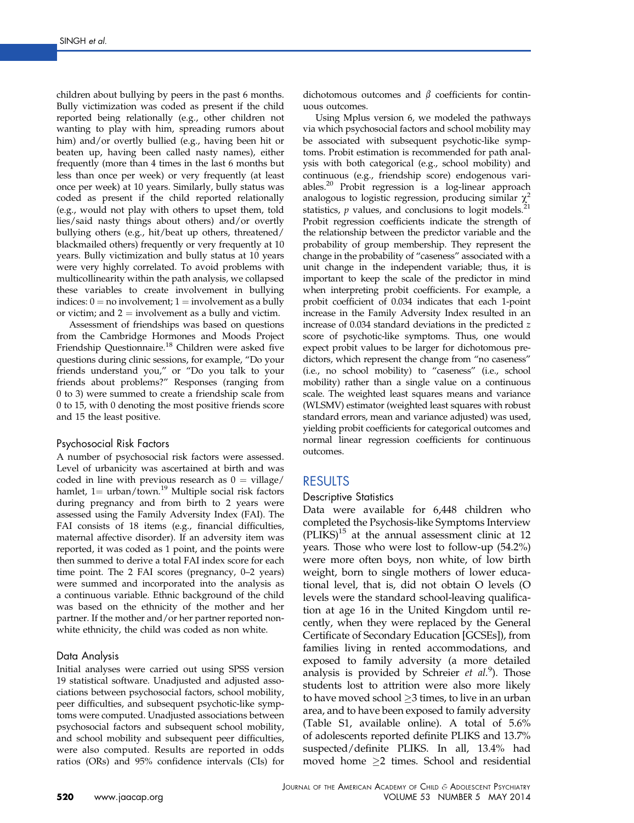children about bullying by peers in the past 6 months. Bully victimization was coded as present if the child reported being relationally (e.g., other children not wanting to play with him, spreading rumors about him) and/or overtly bullied (e.g., having been hit or beaten up, having been called nasty names), either frequently (more than 4 times in the last 6 months but less than once per week) or very frequently (at least once per week) at 10 years. Similarly, bully status was coded as present if the child reported relationally (e.g., would not play with others to upset them, told lies/said nasty things about others) and/or overtly bullying others (e.g., hit/beat up others, threatened/ blackmailed others) frequently or very frequently at 10 years. Bully victimization and bully status at 10 years were very highly correlated. To avoid problems with multicollinearity within the path analysis, we collapsed these variables to create involvement in bullying indices:  $0 =$  no involvement;  $1 =$  involvement as a bully or victim; and  $2 =$  involvement as a bully and victim.

Assessment of friendships was based on questions from the Cambridge Hormones and Moods Project Friendship Questionnaire.<sup>[18](#page-10-0)</sup> Children were asked five questions during clinic sessions, for example, "Do your friends understand you," or "Do you talk to your friends about problems?" Responses (ranging from 0 to 3) were summed to create a friendship scale from 0 to 15, with 0 denoting the most positive friends score and 15 the least positive.

#### Psychosocial Risk Factors

A number of psychosocial risk factors were assessed. Level of urbanicity was ascertained at birth and was coded in line with previous research as  $0 = \text{village}/$ hamlet,  $1 =$  urban/town.<sup>[19](#page-10-0)</sup> Multiple social risk factors during pregnancy and from birth to 2 years were assessed using the Family Adversity Index (FAI). The FAI consists of 18 items (e.g., financial difficulties, maternal affective disorder). If an adversity item was reported, it was coded as 1 point, and the points were then summed to derive a total FAI index score for each time point. The 2 FAI scores (pregnancy, 0–2 years) were summed and incorporated into the analysis as a continuous variable. Ethnic background of the child was based on the ethnicity of the mother and her partner. If the mother and/or her partner reported nonwhite ethnicity, the child was coded as non white.

#### Data Analysis

Initial analyses were carried out using SPSS version 19 statistical software. Unadjusted and adjusted associations between psychosocial factors, school mobility, peer difficulties, and subsequent psychotic-like symptoms were computed. Unadjusted associations between psychosocial factors and subsequent school mobility, and school mobility and subsequent peer difficulties, were also computed. Results are reported in odds ratios (ORs) and 95% confidence intervals (CIs) for

dichotomous outcomes and  $\beta$  coefficients for continuous outcomes.

Using Mplus version 6, we modeled the pathways via which psychosocial factors and school mobility may be associated with subsequent psychotic-like symptoms. Probit estimation is recommended for path analysis with both categorical (e.g., school mobility) and continuous (e.g., friendship score) endogenous vari-ables.<sup>[20](#page-10-0)</sup> Probit regression is a log-linear approach analogous to logistic regression, producing similar  $\chi^2$ statistics,  $p$  values, and conclusions to logit models.<sup>[21](#page-10-0)</sup> Probit regression coefficients indicate the strength of the relationship between the predictor variable and the probability of group membership. They represent the change in the probability of "caseness" associated with a unit change in the independent variable; thus, it is important to keep the scale of the predictor in mind when interpreting probit coefficients. For example, a probit coefficient of 0.034 indicates that each 1-point increase in the Family Adversity Index resulted in an increase of 0.034 standard deviations in the predicted z score of psychotic-like symptoms. Thus, one would expect probit values to be larger for dichotomous predictors, which represent the change from "no caseness" (i.e., no school mobility) to "caseness" (i.e., school mobility) rather than a single value on a continuous scale. The weighted least squares means and variance (WLSMV) estimator (weighted least squares with robust standard errors, mean and variance adjusted) was used, yielding probit coefficients for categorical outcomes and normal linear regression coefficients for continuous outcomes.

#### RESULTS

#### Descriptive Statistics

Data were available for 6,448 children who completed the Psychosis-like Symptoms Interview  $(PLIKS)^{15}$  at the annual assessment clinic at 12 years. Those who were lost to follow-up (54.2%) were more often boys, non white, of low birth weight, born to single mothers of lower educational level, that is, did not obtain O levels (O levels were the standard school-leaving qualification at age 16 in the United Kingdom until recently, when they were replaced by the General Certificate of Secondary Education [GCSEs]), from families living in rented accommodations, and exposed to family adversity (a more detailed analysis is provided by Schreier  $et$   $al.^{9}$  $al.^{9}$  $al.^{9}$ ). Those students lost to attrition were also more likely to have moved school  $\geq$ 3 times, to live in an urban area, and to have been exposed to family adversity ([Table S1,](#page-11-0) available online). A total of 5.6% of adolescents reported definite PLIKS and 13.7% suspected/definite PLIKS. In all, 13.4% had moved home  $\geq$ 2 times. School and residential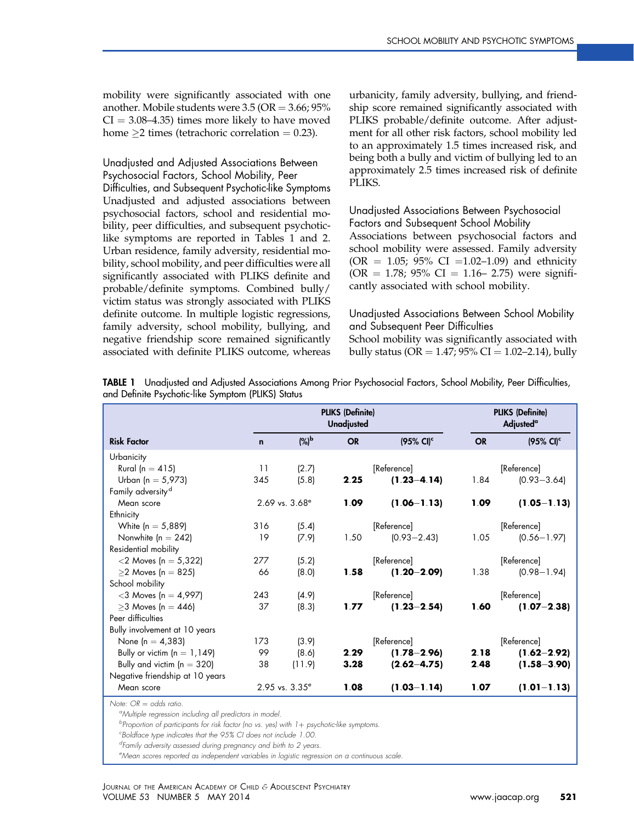mobility were significantly associated with one another. Mobile students were  $3.5$  (OR  $= 3.66$ ;  $95\%$  $CI = 3.08-4.35$ ) times more likely to have moved home  $\geq$ 2 times (tetrachoric correlation = 0.23).

### Unadjusted and Adjusted Associations Between

Psychosocial Factors, School Mobility, Peer Difficulties, and Subsequent Psychotic-like Symptoms Unadjusted and adjusted associations between psychosocial factors, school and residential mobility, peer difficulties, and subsequent psychoticlike symptoms are reported in Tables 1 and [2](#page-5-0). Urban residence, family adversity, residential mobility, school mobility, and peer difficulties were all significantly associated with PLIKS definite and probable/definite symptoms. Combined bully/ victim status was strongly associated with PLIKS definite outcome. In multiple logistic regressions, family adversity, school mobility, bullying, and negative friendship score remained significantly associated with definite PLIKS outcome, whereas urbanicity, family adversity, bullying, and friendship score remained significantly associated with PLIKS probable/definite outcome. After adjustment for all other risk factors, school mobility led to an approximately 1.5 times increased risk, and being both a bully and victim of bullying led to an approximately 2.5 times increased risk of definite PLIKS.

#### Unadjusted Associations Between Psychosocial Factors and Subsequent School Mobility Associations between psychosocial factors and school mobility were assessed. Family adversity (OR = 1.05; 95% CI = 1.02–1.09) and ethnicity  $(OR = 1.78; 95\% \text{ CI} = 1.16- 2.75)$  were significantly associated with school mobility.

#### Unadjusted Associations Between School Mobility and Subsequent Peer Difficulties School mobility was significantly associated with bully status ( $OR = 1.47$ ; 95%  $CI = 1.02 - 2.14$ ), bully

|                                 |             | <b>PLIKS (Definite)</b><br><b>Unadjusted</b> |           |                       |           | <b>PLIKS (Definite)</b><br><b>Adjusted</b> <sup>a</sup> |  |  |
|---------------------------------|-------------|----------------------------------------------|-----------|-----------------------|-----------|---------------------------------------------------------|--|--|
| <b>Risk Factor</b>              | $\mathbf n$ | $(%)^{\bf b}$                                | <b>OR</b> | (95% CI) <sup>c</sup> | <b>OR</b> | $(95\% \text{ Cl})^c$                                   |  |  |
| Urbanicity                      |             |                                              |           |                       |           |                                                         |  |  |
| Rural (n $=$ 415)               | 11          | (2.7)                                        |           | [Reference]           |           | [Reference]                                             |  |  |
| Urban (n = 5,973)               | 345         | (5.8)                                        | 2.25      | $(1.23 - 4.14)$       | 1.84      | $(0.93 - 3.64)$                                         |  |  |
| Family adversity <sup>d</sup>   |             |                                              |           |                       |           |                                                         |  |  |
| Mean score                      |             | $2.69$ vs. $3.68^{\circ}$                    | 1.09      | $(1.06 - 1.13)$       | 1.09      | $(1.05 - 1.13)$                                         |  |  |
| Ethnicity                       |             |                                              |           |                       |           |                                                         |  |  |
| White $(n = 5,889)$             | 316         | (5.4)                                        |           | [Reference]           |           | [Reference]                                             |  |  |
| Nonwhite $(n = 242)$            | 19          | (7.9)                                        | 1.50      | $(0.93 - 2.43)$       | 1.05      | $(0.56 - 1.97)$                                         |  |  |
| Residential mobility            |             |                                              |           |                       |           |                                                         |  |  |
| $<$ 2 Moves (n = 5,322)         | 277         | (5.2)                                        |           | [Reference]           |           | [Reference]                                             |  |  |
| $\geq$ 2 Moves (n = 825)        | 66          | (8.0)                                        | 1.58      | $(1.20 - 2.09)$       | 1.38      | $(0.98 - 1.94)$                                         |  |  |
| School mobility                 |             |                                              |           |                       |           |                                                         |  |  |
| $<$ 3 Moves (n = 4,997)         | 243         | (4.9)                                        |           | [Reference]           |           | [Reference]                                             |  |  |
| $>3$ Moves $ln = 446$           | 37          | (8.3)                                        | 1.77      | $(1.23 - 2.54)$       | 1.60      | $(1.07 - 2.38)$                                         |  |  |
| Peer difficulties               |             |                                              |           |                       |           |                                                         |  |  |
| Bully involvement at 10 years   |             |                                              |           |                       |           |                                                         |  |  |
| None $[n = 4, 383]$             | 173         | (3.9)                                        |           | [Reference]           |           | [Reference]                                             |  |  |
| Bully or victim $(n = 1, 149)$  | 99          | (8.6)                                        | 2.29      | $(1.78 - 2.96)$       | 2.18      | $(1.62 - 2.92)$                                         |  |  |
| Bully and victim ( $n = 320$ )  | 38          | (11.9)                                       | 3.28      | $(2.62 - 4.75)$       | 2.48      | $(1.58 - 3.90)$                                         |  |  |
| Negative friendship at 10 years |             |                                              |           |                       |           |                                                         |  |  |
| Mean score                      |             | $2.95$ vs. $3.35^{\circ}$                    | 1.08      | $(1.03 - 1.14)$       | 1.07      | $(1.01 - 1.13)$                                         |  |  |
| Note: $OR =$ odds ratio         |             |                                              |           |                       |           |                                                         |  |  |

TABLE 1 Unadjusted and Adjusted Associations Among Prior Psychosocial Factors, School Mobility, Peer Difficulties, and Definite Psychotic-like Symptom (PLIKS) Status

Note: OR = odds ratio.<br><sup>a</sup>Multiple regression including all predictors in model.

<sup>b</sup>Proportion of participants for risk factor (no vs. yes) with 1+ psychotic-like symptoms.<br><sup>c</sup>Boldkace type indicates that the 95% CI does not include 1.00

Boldface type indicates that the 95% CI does not include 1.00.

<sup>d</sup>Family adversity assessed during pregnancy and birth to 2 years.

<sup>e</sup>Mean scores reported as independent variables in logistic regression on a continuous scale.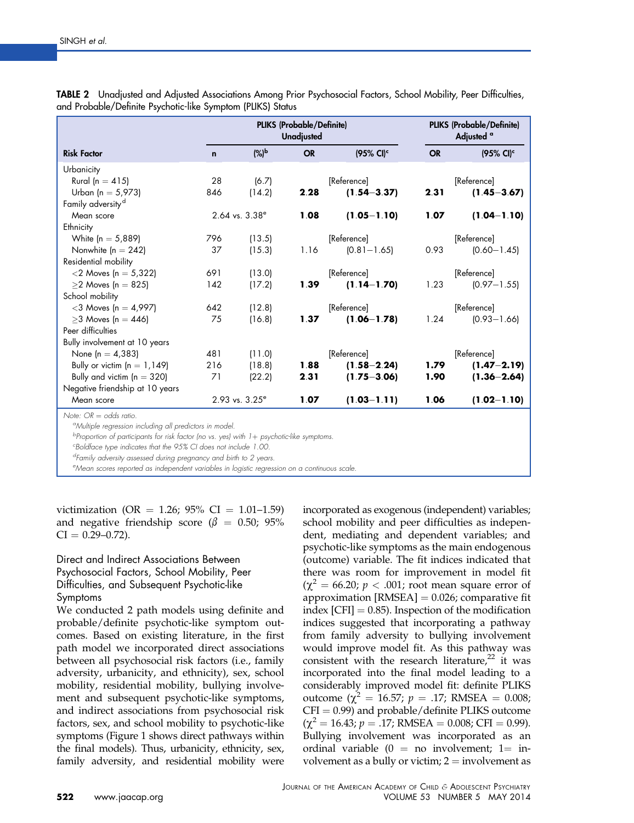|                                                                                                  |             | <b>PLIKS (Probable/Definite)</b><br><b>Unadjusted</b> | <b>PLIKS (Probable/Definite)</b><br>Adjusted <sup>a</sup> |                       |             |                          |  |
|--------------------------------------------------------------------------------------------------|-------------|-------------------------------------------------------|-----------------------------------------------------------|-----------------------|-------------|--------------------------|--|
| <b>Risk Factor</b>                                                                               | $\mathbf n$ | $(%)^b$                                               | <b>OR</b>                                                 | $(95\% \text{ Cl})^c$ |             | $(95\%$ CI) <sup>c</sup> |  |
| Urbanicity                                                                                       |             |                                                       |                                                           |                       |             |                          |  |
| Rural (n = $415$ )                                                                               | 28          | (6.7)                                                 |                                                           | [Reference]           |             | [Reference]              |  |
| Urban (n = $5,973$ )                                                                             | 846         | (14.2)                                                | 2.28                                                      | $(1.54 - 3.37)$       | 2.31        | $(1.45 - 3.67)$          |  |
| Family adversity <sup>d</sup>                                                                    |             |                                                       |                                                           |                       |             |                          |  |
| Mean score                                                                                       |             | $2.64$ vs. $3.38^{\circ}$                             | 1.08                                                      | $(1.05 - 1.10)$       | 1.07        | $(1.04 - 1.10)$          |  |
| Ethnicity                                                                                        |             |                                                       |                                                           |                       |             |                          |  |
| White $(n = 5,889)$                                                                              | 796         | (13.5)                                                |                                                           | [Reference]           | [Reference] |                          |  |
| Nonwhite $(n = 242)$                                                                             | 37          | (15.3)                                                | 1.16                                                      | $(0.81 - 1.65)$       | 0.93        | $(0.60 - 1.45)$          |  |
| Residential mobility                                                                             |             |                                                       |                                                           |                       |             |                          |  |
| $<$ 2 Moves (n = 5,322)                                                                          | 691         | (13.0)                                                |                                                           | [Reference]           |             | [Reference]              |  |
| $\geq$ 2 Moves (n = 825)                                                                         | 142         | (17.2)                                                | 1.39                                                      | $(1.14 - 1.70)$       | 1.23        | $(0.97 - 1.55)$          |  |
| School mobility                                                                                  |             |                                                       |                                                           |                       |             |                          |  |
| $<$ 3 Moves (n = 4,997)                                                                          | 642         | (12.8)                                                |                                                           | [Reference]           | [Reference] |                          |  |
| $>3$ Moves (n = 446)                                                                             | 75          | (16.8)                                                | 1.37                                                      | $(1.06 - 1.78)$       | 1.24        | $(0.93 - 1.66)$          |  |
| Peer difficulties                                                                                |             |                                                       |                                                           |                       |             |                          |  |
| Bully involvement at 10 years                                                                    |             |                                                       |                                                           |                       |             |                          |  |
| None $[n = 4, 383]$                                                                              | 481         | (11.0)                                                |                                                           | [Reference]           |             | [Reference]              |  |
| Bully or victim $(n = 1, 149)$                                                                   | 216         | (18.8)                                                | 1.88                                                      | $(1.58 - 2.24)$       | 1.79        | $(1.47 - 2.19)$          |  |
| Bully and victim ( $n = 320$ )                                                                   | 71          | (22.2)                                                | 2.31                                                      | $(1.75 - 3.06)$       | 1.90        | $(1.36 - 2.64)$          |  |
| Negative friendship at 10 years                                                                  |             |                                                       |                                                           |                       |             |                          |  |
| Mean score                                                                                       |             | $2.93$ vs. $3.25^{\circ}$                             | 1.07                                                      | $(1.03 - 1.11)$       | 1.06        | $(1.02 - 1.10)$          |  |
| Note: $OR = odds ratio$ .<br><sup>o</sup> Multiple regression including all predictors in model. |             |                                                       |                                                           |                       |             |                          |  |

<span id="page-5-0"></span>TABLE 2 Unadjusted and Adjusted Associations Among Prior Psychosocial Factors, School Mobility, Peer Difficulties, and Probable/Definite Psychotic-like Symptom (PLIKS) Status

<sup>b</sup>Proportion of participants for risk factor (no vs. yes) with 1+ psychotic-like symptoms.<br><sup>c</sup>Boldface type indicates that the 95% CI does not include 1.00.

Boldface type indicates that the 95% CI does not include 1.00.

<sup>d</sup>Family adversity assessed during pregnancy and birth to 2 years.

<sup>e</sup>Mean scores reported as independent variables in logistic regression on a continuous scale.

victimization (OR = 1.26; 95% CI = 1.01–1.59) and negative friendship score ( $\beta = 0.50$ ; 95%  $CI = 0.29 - 0.72$ ).

#### Direct and Indirect Associations Between Psychosocial Factors, School Mobility, Peer Difficulties, and Subsequent Psychotic-like Symptoms

We conducted 2 path models using definite and probable/definite psychotic-like symptom outcomes. Based on existing literature, in the first path model we incorporated direct associations between all psychosocial risk factors (i.e., family adversity, urbanicity, and ethnicity), sex, school mobility, residential mobility, bullying involvement and subsequent psychotic-like symptoms, and indirect associations from psychosocial risk factors, sex, and school mobility to psychotic-like symptoms [\(Figure 1](#page-6-0) shows direct pathways within the final models). Thus, urbanicity, ethnicity, sex, family adversity, and residential mobility were incorporated as exogenous (independent) variables; school mobility and peer difficulties as independent, mediating and dependent variables; and psychotic-like symptoms as the main endogenous (outcome) variable. The fit indices indicated that there was room for improvement in model fit  $(\chi^2 = 66.20; p < .001;$  root mean square error of approximation  $[RMSEA] = 0.026$ ; comparative fit index  $[CFI] = 0.85$ . Inspection of the modification indices suggested that incorporating a pathway from family adversity to bullying involvement would improve model fit. As this pathway was consistent with the research literature, $22$  it was incorporated into the final model leading to a considerably improved model fit: definite PLIKS outcome ( $\chi^2$  = 16.57; *p* = .17; RMSEA = 0.008;  $CFI = 0.99$ ) and probable/definite PLIKS outcome  $(\chi^2 = 16.43; p = .17; RMSEA = 0.008; CFI = 0.99).$ Bullying involvement was incorporated as an ordinal variable ( $0 =$  no involvement; 1= involvement as a bully or victim;  $2 =$  involvement as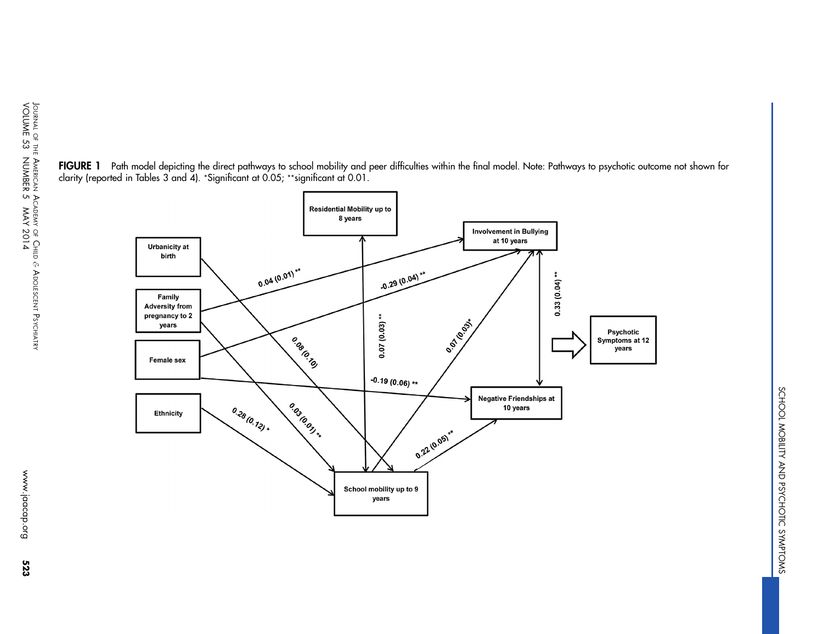<span id="page-6-0"></span>



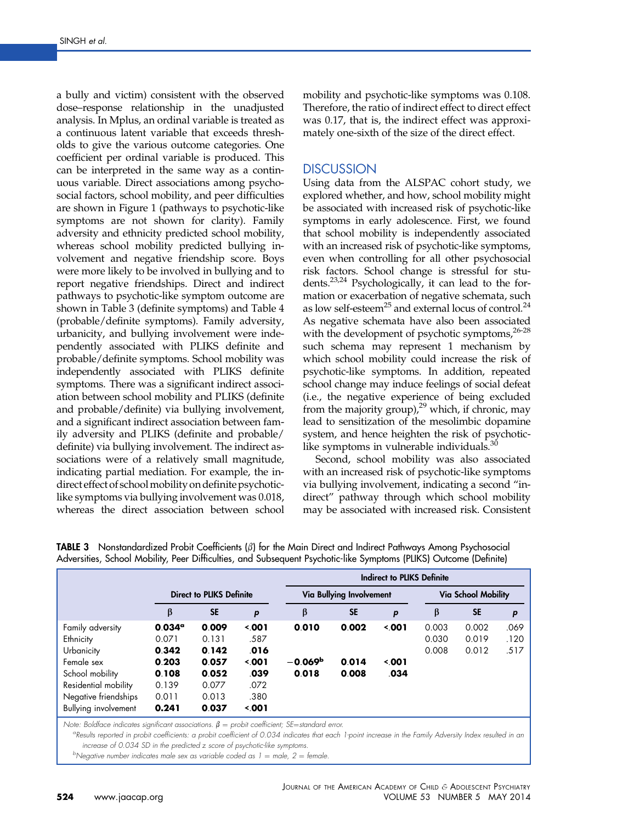<span id="page-7-0"></span>a bully and victim) consistent with the observed dose–response relationship in the unadjusted analysis. In Mplus, an ordinal variable is treated as a continuous latent variable that exceeds thresholds to give the various outcome categories. One coefficient per ordinal variable is produced. This can be interpreted in the same way as a continuous variable. Direct associations among psychosocial factors, school mobility, and peer difficulties are shown in [Figure 1](#page-6-0) (pathways to psychotic-like symptoms are not shown for clarity). Family adversity and ethnicity predicted school mobility, whereas school mobility predicted bullying involvement and negative friendship score. Boys were more likely to be involved in bullying and to report negative friendships. Direct and indirect pathways to psychotic-like symptom outcome are shown in Table 3 (definite symptoms) and [Table 4](#page-8-0) (probable/definite symptoms). Family adversity, urbanicity, and bullying involvement were independently associated with PLIKS definite and probable/definite symptoms. School mobility was independently associated with PLIKS definite symptoms. There was a significant indirect association between school mobility and PLIKS (definite and probable/definite) via bullying involvement, and a significant indirect association between family adversity and PLIKS (definite and probable/ definite) via bullying involvement. The indirect associations were of a relatively small magnitude, indicating partial mediation. For example, the indirect effect of school mobility on definite psychoticlike symptoms via bullying involvement was 0.018, whereas the direct association between school

mobility and psychotic-like symptoms was 0.108. Therefore, the ratio of indirect effect to direct effect was 0.17, that is, the indirect effect was approximately one-sixth of the size of the direct effect.

### **DISCUSSION**

Using data from the ALSPAC cohort study, we explored whether, and how, school mobility might be associated with increased risk of psychotic-like symptoms in early adolescence. First, we found that school mobility is independently associated with an increased risk of psychotic-like symptoms, even when controlling for all other psychosocial risk factors. School change is stressful for students.<sup>23,24</sup> Psychologically, it can lead to the formation or exacerbation of negative schemata, such as low self-esteem<sup>25</sup> and external locus of control.<sup>[24](#page-10-0)</sup> As negative schemata have also been associated with the development of psychotic symptoms,<sup>26-28</sup> such schema may represent 1 mechanism by which school mobility could increase the risk of psychotic-like symptoms. In addition, repeated school change may induce feelings of social defeat (i.e., the negative experience of being excluded from the majority group), $^{29}$  $^{29}$  $^{29}$  which, if chronic, may lead to sensitization of the mesolimbic dopamine system, and hence heighten the risk of psychoticlike symptoms in vulnerable individuals. $\frac{3}{2}$ 

Second, school mobility was also associated with an increased risk of psychotic-like symptoms via bullying involvement, indicating a second "indirect" pathway through which school mobility may be associated with increased risk. Consistent

|                      |                                 | <b>Indirect to PLIKS Definite</b> |            |           |                          |                     |       |           |      |  |
|----------------------|---------------------------------|-----------------------------------|------------|-----------|--------------------------|---------------------|-------|-----------|------|--|
|                      | <b>Direct to PLIKS Definite</b> |                                   |            |           | Via Bullying Involvement | Via School Mobility |       |           |      |  |
|                      | β                               | <b>SE</b>                         | p          | β         | <b>SE</b>                | p                   | β     | <b>SE</b> | P    |  |
| Family adversity     | $0.034^{\circ}$                 | 0.009                             | $\leq 001$ | 0.010     | 0.002                    | 3.001               | 0.003 | 0.002     | .069 |  |
| Ethnicity            | 0.071                           | 0.131                             | .587       |           |                          |                     | 0.030 | 0.019     | .120 |  |
| Urbanicity           | 0.342                           | 0.142                             | .016       |           |                          |                     | 0.008 | 0.012     | .517 |  |
| Female sex           | 0.203                           | 0.057                             | $\leq 001$ | $-0.069b$ | 0.014                    | 5001                |       |           |      |  |
| School mobility      | 0.108                           | 0.052                             | .039       | 0.018     | 0.008                    | .034                |       |           |      |  |
| Residential mobility | 0.139                           | 0.077                             | .072       |           |                          |                     |       |           |      |  |
| Negative friendships | 0.011                           | 0.013                             | .380       |           |                          |                     |       |           |      |  |
| Bullying involvement | 0.241                           | 0.037                             | 3.001      |           |                          |                     |       |           |      |  |

**TABLE 3** Nonstandardized Probit Coefficients  $(\beta)$  for the Main Direct and Indirect Pathways Among Psychosocial Adversities, School Mobility, Peer Difficulties, and Subsequent Psychotic-like Symptoms (PLIKS) Outcome (Definite)

Note: Boldface indicates significant associations.  $\beta$  = probit coefficient; SE=standard error.

<sup>a</sup>Results reported in probit coefficients: a probit coefficient of 0.034 indicates that each 1-point increase in the Family Adversity Index resulted in an increase of 0.034 SD in the predicted z score of psychotic-like symptoms.

<sup>b</sup>Negative number indicates male sex as variable coded as  $1 =$  male,  $2 =$  female.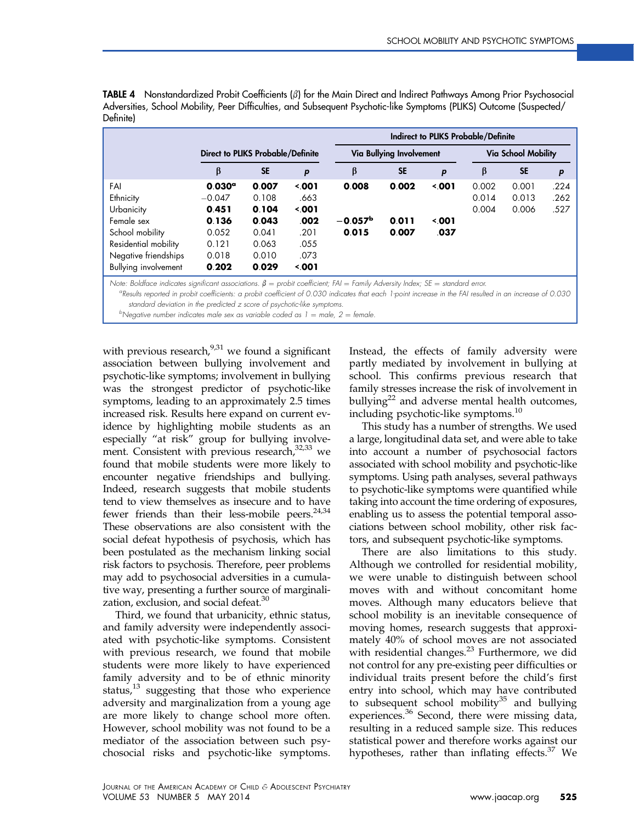<span id="page-8-0"></span>**TABLE 4** Nonstandardized Probit Coefficients  $(\beta)$  for the Main Direct and Indirect Pathways Among Prior Psychosocial Adversities, School Mobility, Peer Difficulties, and Subsequent Psychotic-like Symptoms (PLIKS) Outcome (Suspected/ Definite)

|                      | Indirect to PLIKS Probable/Definite      |           |                  |           |                          |                     |       |           |      |  |
|----------------------|------------------------------------------|-----------|------------------|-----------|--------------------------|---------------------|-------|-----------|------|--|
|                      | <b>Direct to PLIKS Probable/Definite</b> |           |                  |           | Via Bullying Involvement | Via School Mobility |       |           |      |  |
|                      | β                                        | <b>SE</b> | $\boldsymbol{p}$ | β         | <b>SE</b>                | p                   | β     | <b>SE</b> | P    |  |
| FAI                  | $0.030^{\circ}$                          | 0.007     | 5001             | 0.008     | 0.002                    | $\leq 001$          | 0.002 | 0.001     | .224 |  |
| Ethnicity            | $-0.047$                                 | 0.108     | .663             |           |                          |                     | 0.014 | 0.013     | .262 |  |
| Urbanicity           | 0.451                                    | 0.104     | 3.001            |           |                          |                     | 0.004 | 0.006     | .527 |  |
| Female sex           | 0.136                                    | 0.043     | .002             | $-0.057b$ | 0.011                    | $\leq 001$          |       |           |      |  |
| School mobility      | 0.052                                    | 0.041     | .201             | 0.015     | 0.007                    | .037                |       |           |      |  |
| Residential mobility | 0.121                                    | 0.063     | .055             |           |                          |                     |       |           |      |  |
| Negative friendships | 0.018                                    | 0.010     | .073             |           |                          |                     |       |           |      |  |
| Bullying involvement | 0.202                                    | 0.029     | 3.001            |           |                          |                     |       |           |      |  |

Note: Boldface indicates significant associations.  $\beta =$  probit coefficient; FAI = Family Adversity Index; SE = standard error.

Results reported in probit coefficients: a probit coefficient of 0.030 indicates that each 1-point increase in the FAI resulted in an increase of 0.030 standard deviation in the predicted z score of psychotic-like symptoms.

<sup>b</sup>Negative number indicates male sex as variable coded as  $1 =$  male,  $2 =$  female.

with previous research,  $9,31$  we found a significant association between bullying involvement and psychotic-like symptoms; involvement in bullying was the strongest predictor of psychotic-like symptoms, leading to an approximately 2.5 times increased risk. Results here expand on current evidence by highlighting mobile students as an especially "at risk" group for bullying involve-ment. Consistent with previous research,<sup>[32,33](#page-10-0)</sup> we found that mobile students were more likely to encounter negative friendships and bullying. Indeed, research suggests that mobile students tend to view themselves as insecure and to have fewer friends than their less-mobile peers. $24,34$ These observations are also consistent with the social defeat hypothesis of psychosis, which has been postulated as the mechanism linking social risk factors to psychosis. Therefore, peer problems may add to psychosocial adversities in a cumulative way, presenting a further source of marginali-zation, exclusion, and social defeat.<sup>[30](#page-10-0)</sup>

Third, we found that urbanicity, ethnic status, and family adversity were independently associated with psychotic-like symptoms. Consistent with previous research, we found that mobile students were more likely to have experienced family adversity and to be of ethnic minority status, $13$  suggesting that those who experience adversity and marginalization from a young age are more likely to change school more often. However, school mobility was not found to be a mediator of the association between such psychosocial risks and psychotic-like symptoms.

Instead, the effects of family adversity were partly mediated by involvement in bullying at school. This confirms previous research that family stresses increase the risk of involvement in bullying<sup>[22](#page-10-0)</sup> and adverse mental health outcomes, including psychotic-like symptoms.<sup>[10](#page-10-0)</sup>

This study has a number of strengths. We used a large, longitudinal data set, and were able to take into account a number of psychosocial factors associated with school mobility and psychotic-like symptoms. Using path analyses, several pathways to psychotic-like symptoms were quantified while taking into account the time ordering of exposures, enabling us to assess the potential temporal associations between school mobility, other risk factors, and subsequent psychotic-like symptoms.

There are also limitations to this study. Although we controlled for residential mobility, we were unable to distinguish between school moves with and without concomitant home moves. Although many educators believe that school mobility is an inevitable consequence of moving homes, research suggests that approximately 40% of school moves are not associated with residential changes.<sup>[23](#page-10-0)</sup> Furthermore, we did not control for any pre-existing peer difficulties or individual traits present before the child's first entry into school, which may have contributed to subsequent school mobility $35$  and bullying experiences.<sup>[36](#page-10-0)</sup> Second, there were missing data, resulting in a reduced sample size. This reduces statistical power and therefore works against our hypotheses, rather than inflating effects.<sup>[37](#page-10-0)</sup> We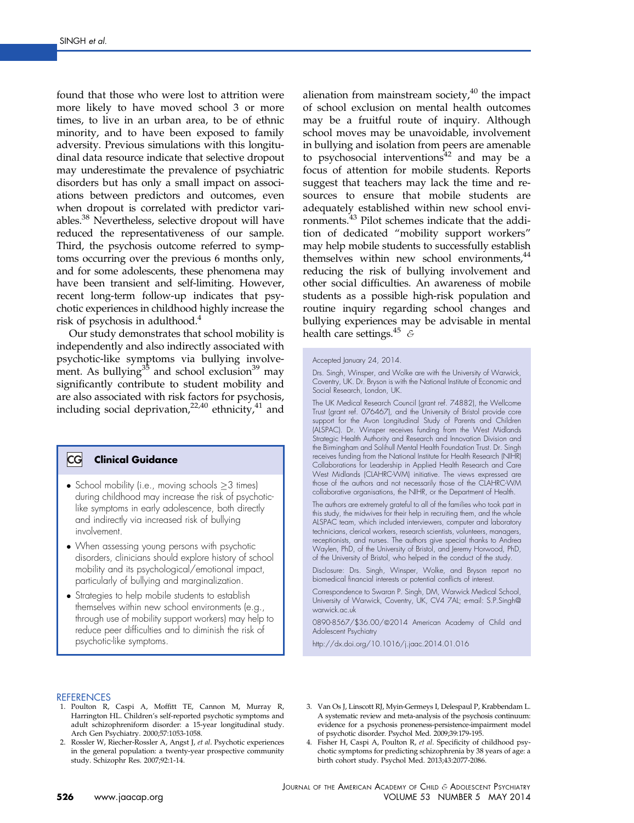<span id="page-9-0"></span>found that those who were lost to attrition were more likely to have moved school 3 or more times, to live in an urban area, to be of ethnic minority, and to have been exposed to family adversity. Previous simulations with this longitudinal data resource indicate that selective dropout may underestimate the prevalence of psychiatric disorders but has only a small impact on associations between predictors and outcomes, even when dropout is correlated with predictor vari-ables.<sup>[38](#page-10-0)</sup> Nevertheless, selective dropout will have reduced the representativeness of our sample. Third, the psychosis outcome referred to symptoms occurring over the previous 6 months only, and for some adolescents, these phenomena may have been transient and self-limiting. However, recent long-term follow-up indicates that psychotic experiences in childhood highly increase the risk of psychosis in adulthood.<sup>4</sup>

Our study demonstrates that school mobility is independently and also indirectly associated with psychotic-like symptoms via bullying involvement. As bullying $35$  and school exclusion $39$  may significantly contribute to student mobility and are also associated with risk factors for psychosis, including social deprivation,<sup>[22,40](#page-10-0)</sup> ethnicity,<sup>[41](#page-10-0)</sup> and

#### $|{\sf CG}|$ Clinical Guidance

- School mobility (i.e., moving schools  $\geq 3$  times) during childhood may increase the risk of psychoticlike symptoms in early adolescence, both directly and indirectly via increased risk of bullying involvement.
- When assessing young persons with psychotic disorders, clinicians should explore history of school mobility and its psychological/emotional impact, particularly of bullying and marginalization.
- Strategies to help mobile students to establish themselves within new school environments (e.g., through use of mobility support workers) may help to reduce peer difficulties and to diminish the risk of psychotic-like symptoms.

alienation from mainstream society, $40$  the impact of school exclusion on mental health outcomes may be a fruitful route of inquiry. Although school moves may be unavoidable, involvement in bullying and isolation from peers are amenable to psychosocial interventions $42$  and may be a focus of attention for mobile students. Reports suggest that teachers may lack the time and resources to ensure that mobile students are adequately established within new school environments.[43](#page-10-0) Pilot schemes indicate that the addition of dedicated "mobility support workers" may help mobile students to successfully establish themselves within new school environments,<sup>[44](#page-10-0)</sup> reducing the risk of bullying involvement and other social difficulties. An awareness of mobile students as a possible high-risk population and routine inquiry regarding school changes and bullying experiences may be advisable in mental health care settings.<sup>45</sup>  $\epsilon$ 

The UK Medical Research Council (grant ref. 74882), the Wellcome Trust (grant ref. 076467), and the University of Bristol provide core support for the Avon Longitudinal Study of Parents and Children (ALSPAC). Dr. Winsper receives funding from the West Midlands Strategic Health Authority and Research and Innovation Division and the Birmingham and Solihull Mental Health Foundation Trust. Dr. Singh receives funding from the National Institute for Health Research (NIHR) Collaborations for Leadership in Applied Health Research and Care West Midlands (CLAHRC-WM) initiative. The views expressed are those of the authors and not necessarily those of the CLAHRC-WM collaborative organisations, the NIHR, or the Department of Health.

The authors are extremely grateful to all of the families who took part in this study, the midwives for their help in recruiting them, and the whole ALSPAC team, which included interviewers, computer and laboratory technicians, clerical workers, research scientists, volunteers, managers, receptionists, and nurses. The authors give special thanks to Andrea Waylen, PhD, of the University of Bristol, and Jeremy Horwood, PhD, of the University of Bristol, who helped in the conduct of the study.

Disclosure: Drs. Singh, Winsper, Wolke, and Bryson report no biomedical financial interests or potential conflicts of interest.

Correspondence to Swaran P. Singh, DM, Warwick Medical School, University of Warwick, Coventry, UK, CV4 7AL; e-mail: [S.P.Singh@](mailto:S.P.Singh@warwick.ac.uk) [warwick.ac.uk](mailto:S.P.Singh@warwick.ac.uk)

0890-8567/\$36.00/@2014 American Academy of Child and Adolescent Psychiatry

<http://dx.doi.org/10.1016/j.jaac.2014.01.016>

#### **REFERENCES**

- 1. Poulton R, Caspi A, Moffitt TE, Cannon M, Murray R, Harrington HL. Children's self-reported psychotic symptoms and adult schizophreniform disorder: a 15-year longitudinal study. Arch Gen Psychiatry. 2000;57:1053-1058.
- 2. Rossler W, Riecher-Rossler A, Angst J, et al. Psychotic experiences in the general population: a twenty-year prospective community study. Schizophr Res. 2007;92:1-14.
- 3. Van Os J, Linscott RJ, Myin-Germeys I, Delespaul P, Krabbendam L. A systematic review and meta-analysis of the psychosis continuum: evidence for a psychosis proneness-persistence-impairment model of psychotic disorder. Psychol Med. 2009;39:179-195.
- Fisher H, Caspi A, Poulton R, et al. Specificity of childhood psychotic symptoms for predicting schizophrenia by 38 years of age: a birth cohort study. Psychol Med. 2013;43:2077-2086.

Accepted January 24, 2014.

Drs. Singh, Winsper, and Wolke are with the University of Warwick, Coventry, UK. Dr. Bryson is with the National Institute of Economic and Social Research, London, UK.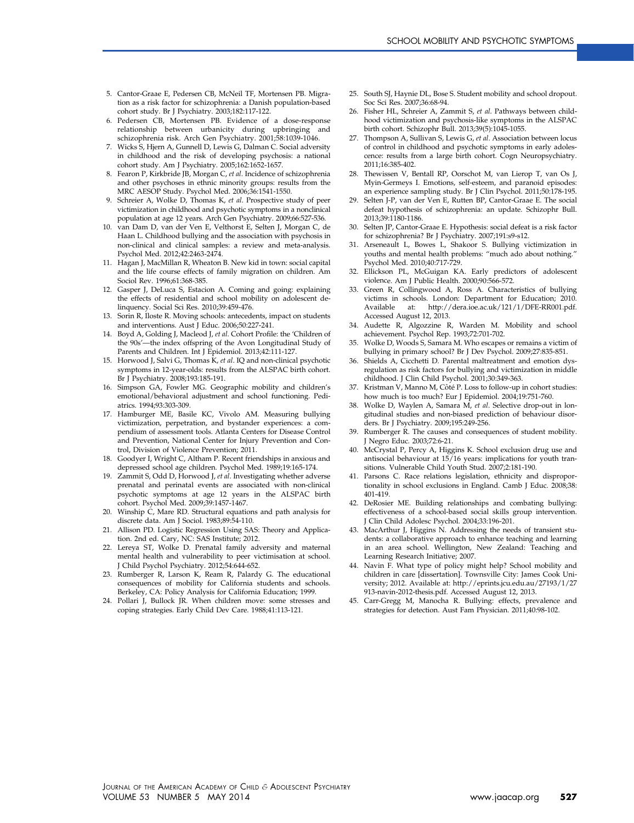- <span id="page-10-0"></span>5. Cantor-Graae E, Pedersen CB, McNeil TF, Mortensen PB. Migration as a risk factor for schizophrenia: a Danish population-based cohort study. Br J Psychiatry. 2003;182:117-122.
- 6. Pedersen CB, Mortensen PB. Evidence of a dose-response relationship between urbanicity during upbringing and schizophrenia risk. Arch Gen Psychiatry. 2001;58:1039-1046.
- 7. Wicks S, Hjern A, Gunnell D, Lewis G, Dalman C. Social adversity in childhood and the risk of developing psychosis: a national cohort study. Am J Psychiatry. 2005;162:1652-1657.
- 8. Fearon P, Kirkbride JB, Morgan C, et al. Incidence of schizophrenia and other psychoses in ethnic minority groups: results from the MRC AESOP Study. Psychol Med. 2006;36:1541-1550.
- 9. Schreier A, Wolke D, Thomas K, et al. Prospective study of peer victimization in childhood and psychotic symptoms in a nonclinical population at age 12 years. Arch Gen Psychiatry. 2009;66:527-536.
- 10. van Dam D, van der Ven E, Velthorst E, Selten J, Morgan C, de Haan L. Childhood bullying and the association with psychosis in non-clinical and clinical samples: a review and meta-analysis. Psychol Med. 2012;42:2463-2474.
- 11. Hagan J, MacMillan R, Wheaton B. New kid in town: social capital and the life course effects of family migration on children. Am Sociol Rev. 1996;61:368-385.
- 12. Gasper J, DeLuca S, Estacion A. Coming and going: explaining the effects of residential and school mobility on adolescent delinquency. Social Sci Res. 2010;39:459-476.
- 13. Sorin R, Iloste R. Moving schools: antecedents, impact on students and interventions. Aust J Educ. 2006;50:227-241.
- 14. Boyd A, Golding J, Macleod J, et al. Cohort Profile: the 'Children of the 90s'—the index offspring of the Avon Longitudinal Study of Parents and Children. Int J Epidemiol. 2013;42:111-127.
- 15. Horwood J, Salvi G, Thomas K, et al. IQ and non-clinical psychotic symptoms in 12-year-olds: results from the ALSPAC birth cohort. Br J Psychiatry. 2008;193:185-191.
- 16. Simpson GA, Fowler MG. Geographic mobility and children's emotional/behavioral adjustment and school functioning. Pediatrics. 1994;93:303-309.
- 17. Hamburger ME, Basile KC, Vivolo AM. Measuring bullying victimization, perpetration, and bystander experiences: a compendium of assessment tools. Atlanta Centers for Disease Control and Prevention, National Center for Injury Prevention and Control, Division of Violence Prevention; 2011.
- 18. Goodyer I, Wright C, Altham P. Recent friendships in anxious and depressed school age children. Psychol Med. 1989;19:165-174.
- 19. Zammit S, Odd D, Horwood J, et al. Investigating whether adverse prenatal and perinatal events are associated with non-clinical psychotic symptoms at age 12 years in the ALSPAC birth cohort. Psychol Med. 2009;39:1457-1467.
- 20. Winship C, Mare RD. Structural equations and path analysis for discrete data. Am J Sociol. 1983;89:54-110.
- 21. Allison PD. Logistic Regression Using SAS: Theory and Application. 2nd ed. Cary, NC: SAS Institute; 2012.
- 22. Lereya ST, Wolke D. Prenatal family adversity and maternal mental health and vulnerability to peer victimisation at school. J Child Psychol Psychiatry. 2012;54:644-652.
- 23. Rumberger R, Larson K, Ream R, Palardy G. The educational consequences of mobility for California students and schools. Berkeley, CA: Policy Analysis for California Education; 1999.
- 24. Pollari J, Bullock JR. When children move: some stresses and coping strategies. Early Child Dev Care. 1988;41:113-121.
- 25. South SJ, Haynie DL, Bose S. Student mobility and school dropout. Soc Sci Res. 2007;36:68-94.
- 26. Fisher HL, Schreier A, Zammit S, et al. Pathways between childhood victimization and psychosis-like symptoms in the ALSPAC birth cohort. Schizophr Bull. 2013;39(5):1045-1055.
- 27. Thompson A, Sullivan S, Lewis G, et al. Association between locus of control in childhood and psychotic symptoms in early adolescence: results from a large birth cohort. Cogn Neuropsychiatry. 2011;16:385-402.
- 28. Thewissen V, Bentall RP, Oorschot M, van Lierop T, van Os J, Myin-Germeys I. Emotions, self-esteem, and paranoid episodes: an experience sampling study. Br J Clin Psychol. 2011;50:178-195.
- Selten J-P, van der Ven E, Rutten BP, Cantor-Graae E. The social defeat hypothesis of schizophrenia: an update. Schizophr Bull. 2013;39:1180-1186.
- 30. Selten JP, Cantor-Graae E. Hypothesis: social defeat is a risk factor for schizophrenia? Br J Psychiatry. 2007;191:s9-s12.
- 31. Arseneault L, Bowes L, Shakoor S. Bullying victimization in youths and mental health problems: "much ado about nothing." Psychol Med. 2010;40:717-729.
- 32. Ellickson PL, McGuigan KA. Early predictors of adolescent violence. Am J Public Health. 2000;90:566-572.
- 33. Green R, Collingwood A, Ross A. Characteristics of bullying victims in schools. London: Department for Education; 2010.<br>Available at: http://dera.ioe.ac.uk/121/1/DFE-RR001.pdf. http://dera.ioe.ac.uk/121/1/DFE-RR001.pdf. Accessed August 12, 2013.
- 34. Audette R, Algozzine R, Warden M. Mobility and school achievement. Psychol Rep. 1993;72:701-702.
- Wolke D, Woods S, Samara M. Who escapes or remains a victim of bullying in primary school? Br J Dev Psychol. 2009;27:835-851.
- 36. Shields A, Cicchetti D. Parental maltreatment and emotion dysregulation as risk factors for bullying and victimization in middle childhood. J Clin Child Psychol. 2001;30:349-363.
- 37. Kristman V, Manno M, Côté P. Loss to follow-up in cohort studies: how much is too much? Eur J Epidemiol. 2004;19:751-760.
- 38. Wolke D, Waylen A, Samara M, et al. Selective drop-out in longitudinal studies and non-biased prediction of behaviour disorders. Br J Psychiatry. 2009;195:249-256.
- Rumberger R. The causes and consequences of student mobility. J Negro Educ. 2003;72:6-21.
- McCrystal P, Percy A, Higgins K. School exclusion drug use and antisocial behaviour at 15/16 years: implications for youth transitions. Vulnerable Child Youth Stud. 2007;2:181-190.
- Parsons C. Race relations legislation, ethnicity and disproportionality in school exclusions in England. Camb J Educ. 2008;38: 401-419.
- 42. DeRosier ME. Building relationships and combating bullying: effectiveness of a school-based social skills group intervention. J Clin Child Adolesc Psychol. 2004;33:196-201.
- 43. MacArthur J, Higgins N. Addressing the needs of transient students: a collaborative approach to enhance teaching and learning in an area school. Wellington, New Zealand: Teaching and Learning Research Initiative; 2007.
- 44. Navin F. What type of policy might help? School mobility and children in care [dissertation]. Townsville City: James Cook University; 2012. Available at: [http://eprints.jcu.edu.au/27193/1/27](http://eprints.jcu.edu.au/27193/1/27913-navin-2012-thesis.pdf) [913-navin-2012-thesis.pdf.](http://eprints.jcu.edu.au/27193/1/27913-navin-2012-thesis.pdf) Accessed August 12, 2013.
- 45. Carr-Gregg M, Manocha R. Bullying: effects, prevalence and strategies for detection. Aust Fam Physician. 2011;40:98-102.